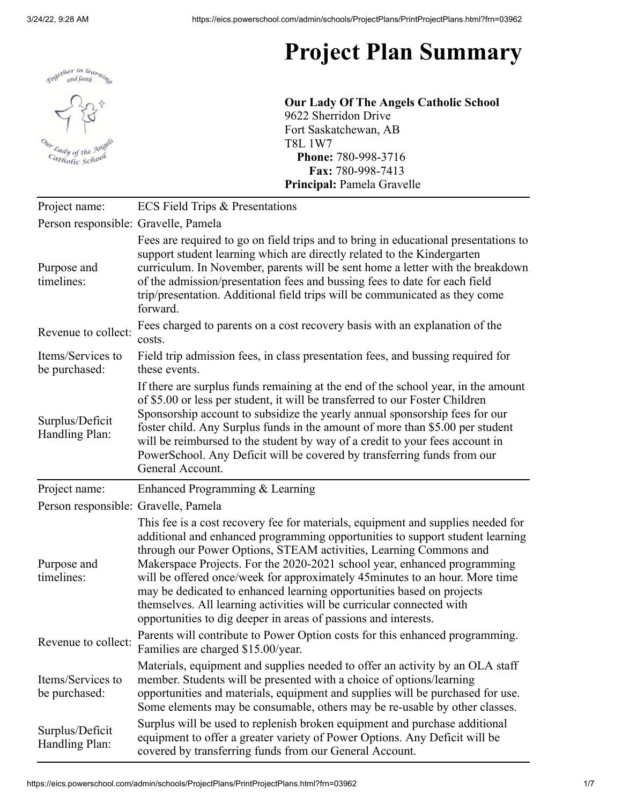

## **Project Plan Summary**

**Our Lady Of The Angels Catholic School** 9622 Sherridon Drive Fort Saskatchewan, AB T8L 1W7 **Phone:** 780-998-3716 **Fax:** 780-998-7413 **Principal:** Pamela Gravelle

| Project name:                        | <b>ECS Field Trips &amp; Presentations</b>                                                                                                                                                                                                                                                                                                                                                                                                                                                                                                                                                                              |
|--------------------------------------|-------------------------------------------------------------------------------------------------------------------------------------------------------------------------------------------------------------------------------------------------------------------------------------------------------------------------------------------------------------------------------------------------------------------------------------------------------------------------------------------------------------------------------------------------------------------------------------------------------------------------|
| Person responsible: Gravelle, Pamela |                                                                                                                                                                                                                                                                                                                                                                                                                                                                                                                                                                                                                         |
| Purpose and<br>timelines:            | Fees are required to go on field trips and to bring in educational presentations to<br>support student learning which are directly related to the Kindergarten<br>curriculum. In November, parents will be sent home a letter with the breakdown<br>of the admission/presentation fees and bussing fees to date for each field<br>trip/presentation. Additional field trips will be communicated as they come<br>forward.                                                                                                                                                                                               |
| Revenue to collect:                  | Fees charged to parents on a cost recovery basis with an explanation of the<br>costs.                                                                                                                                                                                                                                                                                                                                                                                                                                                                                                                                   |
| Items/Services to<br>be purchased:   | Field trip admission fees, in class presentation fees, and bussing required for<br>these events.                                                                                                                                                                                                                                                                                                                                                                                                                                                                                                                        |
| Surplus/Deficit<br>Handling Plan:    | If there are surplus funds remaining at the end of the school year, in the amount<br>of \$5.00 or less per student, it will be transferred to our Foster Children<br>Sponsorship account to subsidize the yearly annual sponsorship fees for our<br>foster child. Any Surplus funds in the amount of more than \$5.00 per student<br>will be reimbursed to the student by way of a credit to your fees account in<br>PowerSchool. Any Deficit will be covered by transferring funds from our<br>General Account.                                                                                                        |
| Project name:                        | Enhanced Programming & Learning                                                                                                                                                                                                                                                                                                                                                                                                                                                                                                                                                                                         |
| Person responsible: Gravelle, Pamela |                                                                                                                                                                                                                                                                                                                                                                                                                                                                                                                                                                                                                         |
| Purpose and<br>timelines:            | This fee is a cost recovery fee for materials, equipment and supplies needed for<br>additional and enhanced programming opportunities to support student learning<br>through our Power Options, STEAM activities, Learning Commons and<br>Makerspace Projects. For the 2020-2021 school year, enhanced programming<br>will be offered once/week for approximately 45 minutes to an hour. More time<br>may be dedicated to enhanced learning opportunities based on projects<br>themselves. All learning activities will be curricular connected with<br>opportunities to dig deeper in areas of passions and interests. |
| Revenue to collect:                  | Parents will contribute to Power Option costs for this enhanced programming.<br>Families are charged \$15.00/year.                                                                                                                                                                                                                                                                                                                                                                                                                                                                                                      |
|                                      |                                                                                                                                                                                                                                                                                                                                                                                                                                                                                                                                                                                                                         |
| Items/Services to<br>be purchased:   | Materials, equipment and supplies needed to offer an activity by an OLA staff<br>member. Students will be presented with a choice of options/learning<br>opportunities and materials, equipment and supplies will be purchased for use.<br>Some elements may be consumable, others may be re-usable by other classes.                                                                                                                                                                                                                                                                                                   |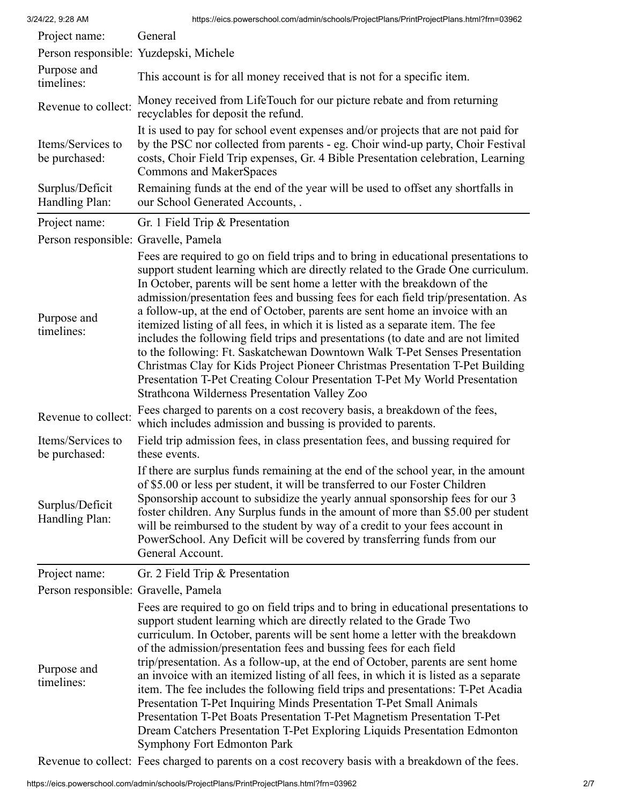| Project name:                        | General                                                                                                                                                                                                                                                                                                                                                                                                                                                                                                                                                                                                                                                                                                                                                                                                                                                                                         |
|--------------------------------------|-------------------------------------------------------------------------------------------------------------------------------------------------------------------------------------------------------------------------------------------------------------------------------------------------------------------------------------------------------------------------------------------------------------------------------------------------------------------------------------------------------------------------------------------------------------------------------------------------------------------------------------------------------------------------------------------------------------------------------------------------------------------------------------------------------------------------------------------------------------------------------------------------|
|                                      | Person responsible: Yuzdepski, Michele                                                                                                                                                                                                                                                                                                                                                                                                                                                                                                                                                                                                                                                                                                                                                                                                                                                          |
| Purpose and<br>timelines:            | This account is for all money received that is not for a specific item.                                                                                                                                                                                                                                                                                                                                                                                                                                                                                                                                                                                                                                                                                                                                                                                                                         |
| Revenue to collect:                  | Money received from LifeTouch for our picture rebate and from returning<br>recyclables for deposit the refund.                                                                                                                                                                                                                                                                                                                                                                                                                                                                                                                                                                                                                                                                                                                                                                                  |
| Items/Services to<br>be purchased:   | It is used to pay for school event expenses and/or projects that are not paid for<br>by the PSC nor collected from parents - eg. Choir wind-up party, Choir Festival<br>costs, Choir Field Trip expenses, Gr. 4 Bible Presentation celebration, Learning<br>Commons and MakerSpaces                                                                                                                                                                                                                                                                                                                                                                                                                                                                                                                                                                                                             |
| Surplus/Deficit<br>Handling Plan:    | Remaining funds at the end of the year will be used to offset any shortfalls in<br>our School Generated Accounts, .                                                                                                                                                                                                                                                                                                                                                                                                                                                                                                                                                                                                                                                                                                                                                                             |
| Project name:                        | Gr. 1 Field Trip & Presentation                                                                                                                                                                                                                                                                                                                                                                                                                                                                                                                                                                                                                                                                                                                                                                                                                                                                 |
| Person responsible: Gravelle, Pamela |                                                                                                                                                                                                                                                                                                                                                                                                                                                                                                                                                                                                                                                                                                                                                                                                                                                                                                 |
| Purpose and<br>timelines:            | Fees are required to go on field trips and to bring in educational presentations to<br>support student learning which are directly related to the Grade One curriculum.<br>In October, parents will be sent home a letter with the breakdown of the<br>admission/presentation fees and bussing fees for each field trip/presentation. As<br>a follow-up, at the end of October, parents are sent home an invoice with an<br>itemized listing of all fees, in which it is listed as a separate item. The fee<br>includes the following field trips and presentations (to date and are not limited<br>to the following: Ft. Saskatchewan Downtown Walk T-Pet Senses Presentation<br>Christmas Clay for Kids Project Pioneer Christmas Presentation T-Pet Building<br>Presentation T-Pet Creating Colour Presentation T-Pet My World Presentation<br>Strathcona Wilderness Presentation Valley Zoo |
| Revenue to collect:                  | Fees charged to parents on a cost recovery basis, a breakdown of the fees,<br>which includes admission and bussing is provided to parents.                                                                                                                                                                                                                                                                                                                                                                                                                                                                                                                                                                                                                                                                                                                                                      |
| Items/Services to<br>be purchased:   | Field trip admission fees, in class presentation fees, and bussing required for<br>these events.                                                                                                                                                                                                                                                                                                                                                                                                                                                                                                                                                                                                                                                                                                                                                                                                |
| Surplus/Deficit<br>Handling Plan:    | If there are surplus funds remaining at the end of the school year, in the amount<br>of \$5.00 or less per student, it will be transferred to our Foster Children<br>Sponsorship account to subsidize the yearly annual sponsorship fees for our 3<br>foster children. Any Surplus funds in the amount of more than \$5.00 per student<br>will be reimbursed to the student by way of a credit to your fees account in<br>PowerSchool. Any Deficit will be covered by transferring funds from our<br>General Account.                                                                                                                                                                                                                                                                                                                                                                           |
| Project name:                        | Gr. 2 Field Trip & Presentation                                                                                                                                                                                                                                                                                                                                                                                                                                                                                                                                                                                                                                                                                                                                                                                                                                                                 |
| Person responsible: Gravelle, Pamela |                                                                                                                                                                                                                                                                                                                                                                                                                                                                                                                                                                                                                                                                                                                                                                                                                                                                                                 |
| Purpose and<br>timelines:            | Fees are required to go on field trips and to bring in educational presentations to<br>support student learning which are directly related to the Grade Two<br>curriculum. In October, parents will be sent home a letter with the breakdown<br>of the admission/presentation fees and bussing fees for each field<br>trip/presentation. As a follow-up, at the end of October, parents are sent home<br>an invoice with an itemized listing of all fees, in which it is listed as a separate<br>item. The fee includes the following field trips and presentations: T-Pet Acadia<br>Presentation T-Pet Inquiring Minds Presentation T-Pet Small Animals<br>Presentation T-Pet Boats Presentation T-Pet Magnetism Presentation T-Pet<br>Dream Catchers Presentation T-Pet Exploring Liquids Presentation Edmonton<br><b>Symphony Fort Edmonton Park</b>                                         |

Revenue to collect: Fees charged to parents on a cost recovery basis with a breakdown of the fees.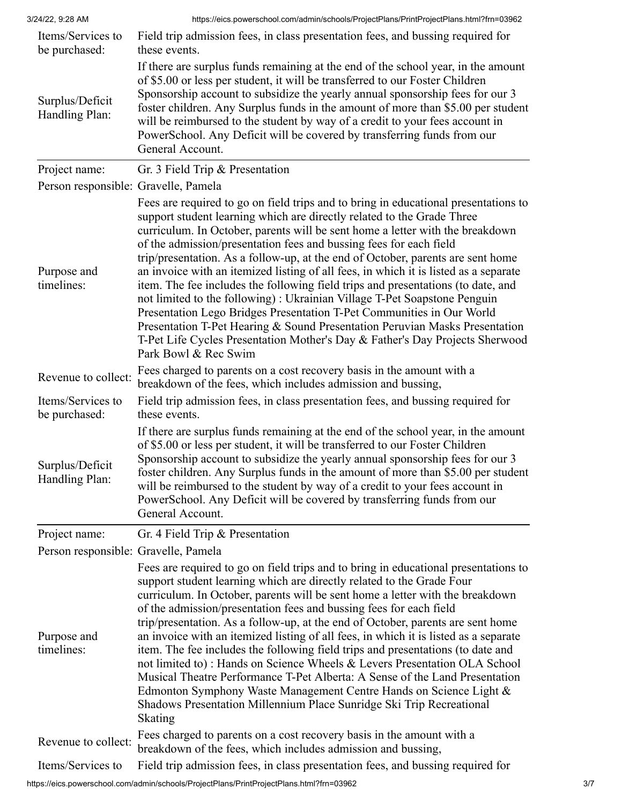| Items/Services to<br>be purchased:   | Field trip admission fees, in class presentation fees, and bussing required for<br>these events.                                                                                                                                                                                                                                                                                                                                                                                                                                                                                                                                                                                                                                                                                                                                                                                                                                |
|--------------------------------------|---------------------------------------------------------------------------------------------------------------------------------------------------------------------------------------------------------------------------------------------------------------------------------------------------------------------------------------------------------------------------------------------------------------------------------------------------------------------------------------------------------------------------------------------------------------------------------------------------------------------------------------------------------------------------------------------------------------------------------------------------------------------------------------------------------------------------------------------------------------------------------------------------------------------------------|
| Surplus/Deficit<br>Handling Plan:    | If there are surplus funds remaining at the end of the school year, in the amount<br>of \$5.00 or less per student, it will be transferred to our Foster Children<br>Sponsorship account to subsidize the yearly annual sponsorship fees for our 3<br>foster children. Any Surplus funds in the amount of more than \$5.00 per student<br>will be reimbursed to the student by way of a credit to your fees account in<br>PowerSchool. Any Deficit will be covered by transferring funds from our<br>General Account.                                                                                                                                                                                                                                                                                                                                                                                                           |
| Project name:                        | Gr. 3 Field Trip & Presentation                                                                                                                                                                                                                                                                                                                                                                                                                                                                                                                                                                                                                                                                                                                                                                                                                                                                                                 |
| Person responsible: Gravelle, Pamela |                                                                                                                                                                                                                                                                                                                                                                                                                                                                                                                                                                                                                                                                                                                                                                                                                                                                                                                                 |
| Purpose and<br>timelines:            | Fees are required to go on field trips and to bring in educational presentations to<br>support student learning which are directly related to the Grade Three<br>curriculum. In October, parents will be sent home a letter with the breakdown<br>of the admission/presentation fees and bussing fees for each field<br>trip/presentation. As a follow-up, at the end of October, parents are sent home<br>an invoice with an itemized listing of all fees, in which it is listed as a separate<br>item. The fee includes the following field trips and presentations (to date, and<br>not limited to the following): Ukrainian Village T-Pet Soapstone Penguin<br>Presentation Lego Bridges Presentation T-Pet Communities in Our World<br>Presentation T-Pet Hearing & Sound Presentation Peruvian Masks Presentation<br>T-Pet Life Cycles Presentation Mother's Day & Father's Day Projects Sherwood<br>Park Bowl & Rec Swim |
| Revenue to collect:                  | Fees charged to parents on a cost recovery basis in the amount with a<br>breakdown of the fees, which includes admission and bussing,                                                                                                                                                                                                                                                                                                                                                                                                                                                                                                                                                                                                                                                                                                                                                                                           |
| Items/Services to<br>be purchased:   | Field trip admission fees, in class presentation fees, and bussing required for<br>these events.                                                                                                                                                                                                                                                                                                                                                                                                                                                                                                                                                                                                                                                                                                                                                                                                                                |
| Surplus/Deficit<br>Handling Plan:    | If there are surplus funds remaining at the end of the school year, in the amount<br>of \$5.00 or less per student, it will be transferred to our Foster Children<br>Sponsorship account to subsidize the yearly annual sponsorship fees for our 3<br>foster children. Any Surplus funds in the amount of more than \$5.00 per student<br>will be reimbursed to the student by way of a credit to your fees account in<br>PowerSchool. Any Deficit will be covered by transferring funds from our<br>General Account.                                                                                                                                                                                                                                                                                                                                                                                                           |
| Project name:                        | Gr. 4 Field Trip & Presentation                                                                                                                                                                                                                                                                                                                                                                                                                                                                                                                                                                                                                                                                                                                                                                                                                                                                                                 |
| Person responsible: Gravelle, Pamela |                                                                                                                                                                                                                                                                                                                                                                                                                                                                                                                                                                                                                                                                                                                                                                                                                                                                                                                                 |
| Purpose and<br>timelines:            | Fees are required to go on field trips and to bring in educational presentations to<br>support student learning which are directly related to the Grade Four<br>curriculum. In October, parents will be sent home a letter with the breakdown<br>of the admission/presentation fees and bussing fees for each field<br>trip/presentation. As a follow-up, at the end of October, parents are sent home<br>an invoice with an itemized listing of all fees, in which it is listed as a separate<br>item. The fee includes the following field trips and presentations (to date and<br>not limited to): Hands on Science Wheels & Levers Presentation OLA School<br>Musical Theatre Performance T-Pet Alberta: A Sense of the Land Presentation<br>Edmonton Symphony Waste Management Centre Hands on Science Light &<br>Shadows Presentation Millennium Place Sunridge Ski Trip Recreational<br>Skating                          |
| Revenue to collect:                  | Fees charged to parents on a cost recovery basis in the amount with a<br>breakdown of the fees, which includes admission and bussing,                                                                                                                                                                                                                                                                                                                                                                                                                                                                                                                                                                                                                                                                                                                                                                                           |
| Items/Services to                    | Field trip admission fees, in class presentation fees, and bussing required for                                                                                                                                                                                                                                                                                                                                                                                                                                                                                                                                                                                                                                                                                                                                                                                                                                                 |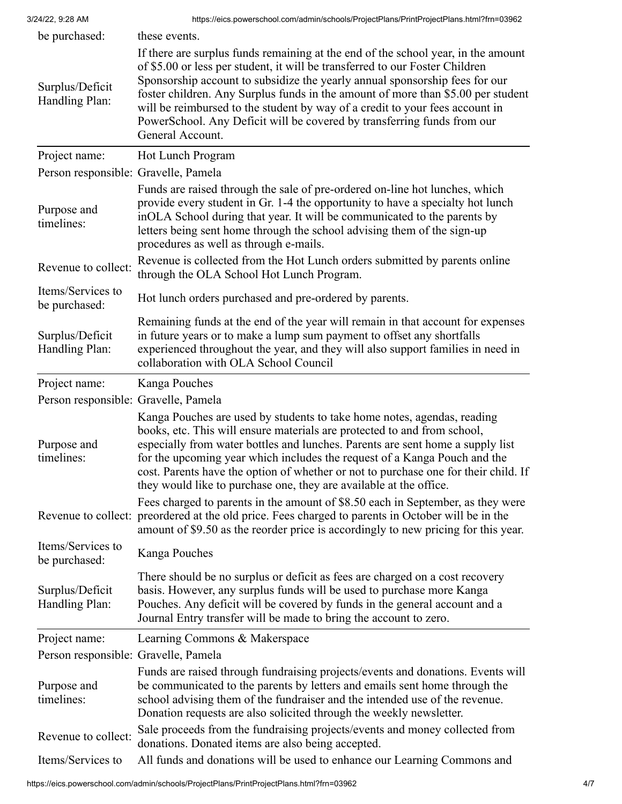| be purchased:                        | these events.                                                                                                                                                                                                                                                                                                                                                                                                                                                                                                       |
|--------------------------------------|---------------------------------------------------------------------------------------------------------------------------------------------------------------------------------------------------------------------------------------------------------------------------------------------------------------------------------------------------------------------------------------------------------------------------------------------------------------------------------------------------------------------|
| Surplus/Deficit<br>Handling Plan:    | If there are surplus funds remaining at the end of the school year, in the amount<br>of \$5.00 or less per student, it will be transferred to our Foster Children<br>Sponsorship account to subsidize the yearly annual sponsorship fees for our<br>foster children. Any Surplus funds in the amount of more than \$5.00 per student<br>will be reimbursed to the student by way of a credit to your fees account in<br>PowerSchool. Any Deficit will be covered by transferring funds from our<br>General Account. |
| Project name:                        | Hot Lunch Program                                                                                                                                                                                                                                                                                                                                                                                                                                                                                                   |
| Person responsible: Gravelle, Pamela |                                                                                                                                                                                                                                                                                                                                                                                                                                                                                                                     |
| Purpose and<br>timelines:            | Funds are raised through the sale of pre-ordered on-line hot lunches, which<br>provide every student in Gr. 1-4 the opportunity to have a specialty hot lunch<br>inOLA School during that year. It will be communicated to the parents by<br>letters being sent home through the school advising them of the sign-up<br>procedures as well as through e-mails.                                                                                                                                                      |
| Revenue to collect:                  | Revenue is collected from the Hot Lunch orders submitted by parents online<br>through the OLA School Hot Lunch Program.                                                                                                                                                                                                                                                                                                                                                                                             |
| Items/Services to<br>be purchased:   | Hot lunch orders purchased and pre-ordered by parents.                                                                                                                                                                                                                                                                                                                                                                                                                                                              |
| Surplus/Deficit<br>Handling Plan:    | Remaining funds at the end of the year will remain in that account for expenses<br>in future years or to make a lump sum payment to offset any shortfalls<br>experienced throughout the year, and they will also support families in need in<br>collaboration with OLA School Council                                                                                                                                                                                                                               |
| Project name:                        | Kanga Pouches                                                                                                                                                                                                                                                                                                                                                                                                                                                                                                       |
| Person responsible: Gravelle, Pamela |                                                                                                                                                                                                                                                                                                                                                                                                                                                                                                                     |
| Purpose and<br>timelines:            | Kanga Pouches are used by students to take home notes, agendas, reading<br>books, etc. This will ensure materials are protected to and from school,<br>especially from water bottles and lunches. Parents are sent home a supply list<br>for the upcoming year which includes the request of a Kanga Pouch and the<br>cost. Parents have the option of whether or not to purchase one for their child. If<br>they would like to purchase one, they are available at the office.                                     |
|                                      | Fees charged to parents in the amount of \$8.50 each in September, as they were<br>Revenue to collect: preordered at the old price. Fees charged to parents in October will be in the<br>amount of \$9.50 as the reorder price is accordingly to new pricing for this year.                                                                                                                                                                                                                                         |
| Items/Services to<br>be purchased:   | Kanga Pouches                                                                                                                                                                                                                                                                                                                                                                                                                                                                                                       |
| Surplus/Deficit<br>Handling Plan:    | There should be no surplus or deficit as fees are charged on a cost recovery<br>basis. However, any surplus funds will be used to purchase more Kanga<br>Pouches. Any deficit will be covered by funds in the general account and a<br>Journal Entry transfer will be made to bring the account to zero.                                                                                                                                                                                                            |
| Project name:                        | Learning Commons & Makerspace                                                                                                                                                                                                                                                                                                                                                                                                                                                                                       |
| Person responsible: Gravelle, Pamela |                                                                                                                                                                                                                                                                                                                                                                                                                                                                                                                     |
| Purpose and<br>timelines:            | Funds are raised through fundraising projects/events and donations. Events will<br>be communicated to the parents by letters and emails sent home through the<br>school advising them of the fundraiser and the intended use of the revenue.<br>Donation requests are also solicited through the weekly newsletter.                                                                                                                                                                                                 |
| Revenue to collect:                  | Sale proceeds from the fundraising projects/events and money collected from<br>donations. Donated items are also being accepted.                                                                                                                                                                                                                                                                                                                                                                                    |
| Items/Services to                    | All funds and donations will be used to enhance our Learning Commons and                                                                                                                                                                                                                                                                                                                                                                                                                                            |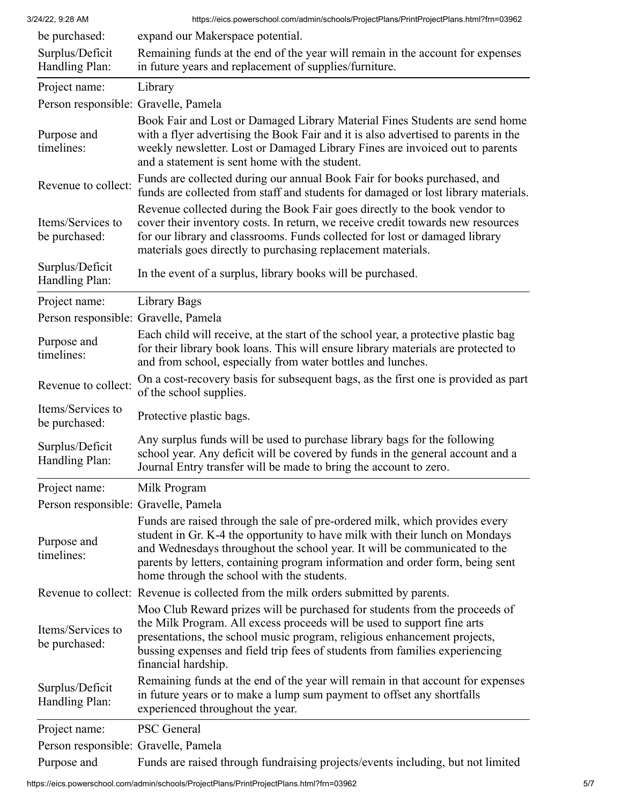| 3/24/22, 9:28 AM                     | https://eics.powerschool.com/admin/schools/ProjectPlans/PrintProjectPlans.html?frn=03962                                                                                                                                                                                                                                                                               |
|--------------------------------------|------------------------------------------------------------------------------------------------------------------------------------------------------------------------------------------------------------------------------------------------------------------------------------------------------------------------------------------------------------------------|
| be purchased:                        | expand our Makerspace potential.                                                                                                                                                                                                                                                                                                                                       |
| Surplus/Deficit<br>Handling Plan:    | Remaining funds at the end of the year will remain in the account for expenses<br>in future years and replacement of supplies/furniture.                                                                                                                                                                                                                               |
| Project name:                        | Library                                                                                                                                                                                                                                                                                                                                                                |
| Person responsible: Gravelle, Pamela |                                                                                                                                                                                                                                                                                                                                                                        |
| Purpose and<br>timelines:            | Book Fair and Lost or Damaged Library Material Fines Students are send home<br>with a flyer advertising the Book Fair and it is also advertised to parents in the<br>weekly newsletter. Lost or Damaged Library Fines are invoiced out to parents<br>and a statement is sent home with the student.                                                                    |
| Revenue to collect:                  | Funds are collected during our annual Book Fair for books purchased, and<br>funds are collected from staff and students for damaged or lost library materials.                                                                                                                                                                                                         |
| Items/Services to<br>be purchased:   | Revenue collected during the Book Fair goes directly to the book vendor to<br>cover their inventory costs. In return, we receive credit towards new resources<br>for our library and classrooms. Funds collected for lost or damaged library<br>materials goes directly to purchasing replacement materials.                                                           |
| Surplus/Deficit<br>Handling Plan:    | In the event of a surplus, library books will be purchased.                                                                                                                                                                                                                                                                                                            |
| Project name:                        | Library Bags                                                                                                                                                                                                                                                                                                                                                           |
| Person responsible: Gravelle, Pamela |                                                                                                                                                                                                                                                                                                                                                                        |
| Purpose and<br>timelines:            | Each child will receive, at the start of the school year, a protective plastic bag<br>for their library book loans. This will ensure library materials are protected to<br>and from school, especially from water bottles and lunches.                                                                                                                                 |
| Revenue to collect:                  | On a cost-recovery basis for subsequent bags, as the first one is provided as part<br>of the school supplies.                                                                                                                                                                                                                                                          |
| Items/Services to<br>be purchased:   | Protective plastic bags.                                                                                                                                                                                                                                                                                                                                               |
| Surplus/Deficit<br>Handling Plan:    | Any surplus funds will be used to purchase library bags for the following<br>school year. Any deficit will be covered by funds in the general account and a<br>Journal Entry transfer will be made to bring the account to zero.                                                                                                                                       |
| Project name:                        | Milk Program                                                                                                                                                                                                                                                                                                                                                           |
| Person responsible: Gravelle, Pamela |                                                                                                                                                                                                                                                                                                                                                                        |
| Purpose and<br>timelines:            | Funds are raised through the sale of pre-ordered milk, which provides every<br>student in Gr. K-4 the opportunity to have milk with their lunch on Mondays<br>and Wednesdays throughout the school year. It will be communicated to the<br>parents by letters, containing program information and order form, being sent<br>home through the school with the students. |
|                                      | Revenue to collect: Revenue is collected from the milk orders submitted by parents.                                                                                                                                                                                                                                                                                    |
| Items/Services to<br>be purchased:   | Moo Club Reward prizes will be purchased for students from the proceeds of<br>the Milk Program. All excess proceeds will be used to support fine arts<br>presentations, the school music program, religious enhancement projects,<br>bussing expenses and field trip fees of students from families experiencing<br>financial hardship.                                |
| Surplus/Deficit<br>Handling Plan:    | Remaining funds at the end of the year will remain in that account for expenses<br>in future years or to make a lump sum payment to offset any shortfalls<br>experienced throughout the year.                                                                                                                                                                          |
| Project name:                        | <b>PSC</b> General                                                                                                                                                                                                                                                                                                                                                     |
| Person responsible: Gravelle, Pamela |                                                                                                                                                                                                                                                                                                                                                                        |
| Purpose and                          | Funds are raised through fundraising projects/events including, but not limited                                                                                                                                                                                                                                                                                        |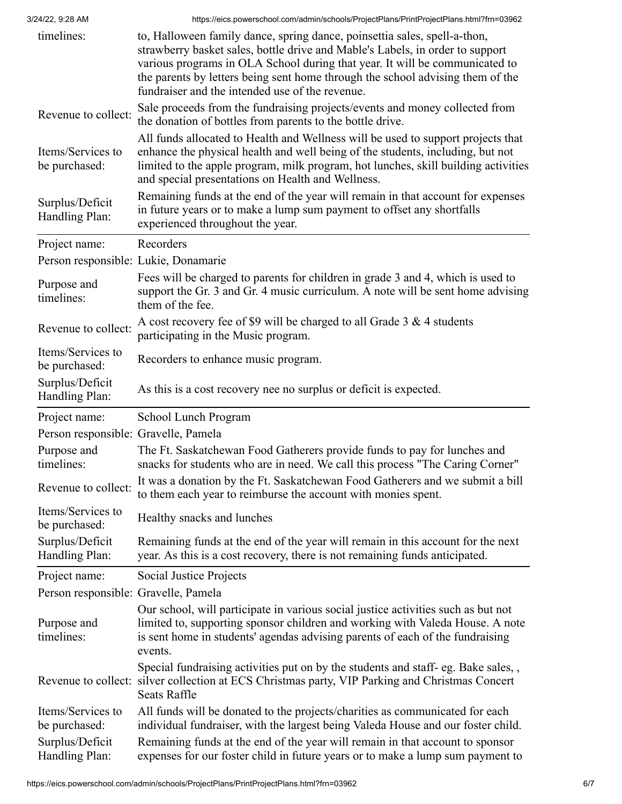| timelines:                           | to, Halloween family dance, spring dance, poinsettia sales, spell-a-thon,<br>strawberry basket sales, bottle drive and Mable's Labels, in order to support<br>various programs in OLA School during that year. It will be communicated to<br>the parents by letters being sent home through the school advising them of the<br>fundraiser and the intended use of the revenue. |
|--------------------------------------|--------------------------------------------------------------------------------------------------------------------------------------------------------------------------------------------------------------------------------------------------------------------------------------------------------------------------------------------------------------------------------|
| Revenue to collect:                  | Sale proceeds from the fundraising projects/events and money collected from<br>the donation of bottles from parents to the bottle drive.                                                                                                                                                                                                                                       |
| Items/Services to<br>be purchased:   | All funds allocated to Health and Wellness will be used to support projects that<br>enhance the physical health and well being of the students, including, but not<br>limited to the apple program, milk program, hot lunches, skill building activities<br>and special presentations on Health and Wellness.                                                                  |
| Surplus/Deficit<br>Handling Plan:    | Remaining funds at the end of the year will remain in that account for expenses<br>in future years or to make a lump sum payment to offset any shortfalls<br>experienced throughout the year.                                                                                                                                                                                  |
| Project name:                        | Recorders                                                                                                                                                                                                                                                                                                                                                                      |
| Person responsible: Lukie, Donamarie |                                                                                                                                                                                                                                                                                                                                                                                |
| Purpose and<br>timelines:            | Fees will be charged to parents for children in grade 3 and 4, which is used to<br>support the Gr. 3 and Gr. 4 music curriculum. A note will be sent home advising<br>them of the fee.                                                                                                                                                                                         |
| Revenue to collect:                  | A cost recovery fee of \$9 will be charged to all Grade $3 & 4$ students<br>participating in the Music program.                                                                                                                                                                                                                                                                |
| Items/Services to<br>be purchased:   | Recorders to enhance music program.                                                                                                                                                                                                                                                                                                                                            |
| Surplus/Deficit<br>Handling Plan:    | As this is a cost recovery nee no surplus or deficit is expected.                                                                                                                                                                                                                                                                                                              |
| Project name:                        | School Lunch Program                                                                                                                                                                                                                                                                                                                                                           |
| Person responsible: Gravelle, Pamela |                                                                                                                                                                                                                                                                                                                                                                                |
| Purpose and<br>timelines:            | The Ft. Saskatchewan Food Gatherers provide funds to pay for lunches and<br>snacks for students who are in need. We call this process "The Caring Corner"                                                                                                                                                                                                                      |
| Revenue to collect:                  | It was a donation by the Ft. Saskatchewan Food Gatherers and we submit a bill<br>to them each year to reimburse the account with monies spent.                                                                                                                                                                                                                                 |
| Items/Services to<br>be purchased:   | Healthy snacks and lunches                                                                                                                                                                                                                                                                                                                                                     |
| Surplus/Deficit<br>Handling Plan:    | Remaining funds at the end of the year will remain in this account for the next<br>year. As this is a cost recovery, there is not remaining funds anticipated.                                                                                                                                                                                                                 |
| Project name:                        | Social Justice Projects                                                                                                                                                                                                                                                                                                                                                        |
| Person responsible: Gravelle, Pamela |                                                                                                                                                                                                                                                                                                                                                                                |
| Purpose and<br>timelines:            | Our school, will participate in various social justice activities such as but not<br>limited to, supporting sponsor children and working with Valeda House. A note<br>is sent home in students' agendas advising parents of each of the fundraising<br>events.                                                                                                                 |
|                                      | Special fundraising activities put on by the students and staff- eg. Bake sales,,<br>Revenue to collect: silver collection at ECS Christmas party, VIP Parking and Christmas Concert<br><b>Seats Raffle</b>                                                                                                                                                                    |
| Items/Services to<br>be purchased:   | All funds will be donated to the projects/charities as communicated for each<br>individual fundraiser, with the largest being Valeda House and our foster child.                                                                                                                                                                                                               |
| Surplus/Deficit<br>Handling Plan:    | Remaining funds at the end of the year will remain in that account to sponsor<br>expenses for our foster child in future years or to make a lump sum payment to                                                                                                                                                                                                                |